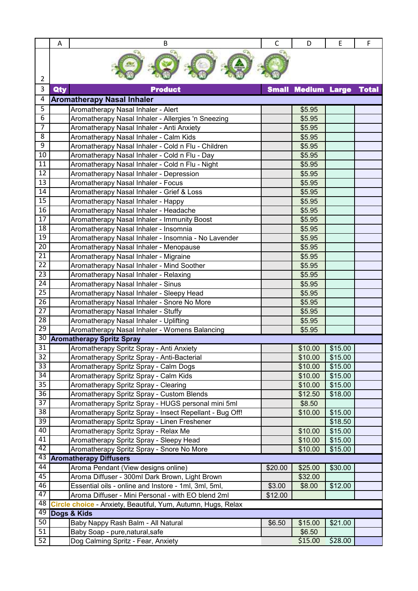|                 | A   | В                                                            | $\mathsf{C}$ | D                   | E       | F            |
|-----------------|-----|--------------------------------------------------------------|--------------|---------------------|---------|--------------|
| 2               |     |                                                              |              |                     |         |              |
| 3               | Qty | <b>Product</b>                                               | <b>Small</b> | <b>Medium Large</b> |         | <b>Total</b> |
| 4               |     | <b>Aromatherapy Nasal Inhaler</b>                            |              |                     |         |              |
| 5               |     | Aromatherapy Nasal Inhaler - Alert                           |              | \$5.95              |         |              |
| 6               |     | Aromatherapy Nasal Inhaler - Allergies 'n Sneezing           |              | \$5.95              |         |              |
| 7               |     | Aromatherapy Nasal Inhaler - Anti Anxiety                    |              | \$5.95              |         |              |
| 8               |     | Aromatherapy Nasal Inhaler - Calm Kids                       |              | \$5.95              |         |              |
| 9               |     | Aromatherapy Nasal Inhaler - Cold n Flu - Children           |              | \$5.95              |         |              |
| $\overline{10}$ |     | Aromatherapy Nasal Inhaler - Cold n Flu - Day                |              | \$5.95              |         |              |
| $\overline{11}$ |     | Aromatherapy Nasal Inhaler - Cold n Flu - Night              |              | \$5.95              |         |              |
| 12              |     | Aromatherapy Nasal Inhaler - Depression                      |              | \$5.95              |         |              |
| $\overline{13}$ |     | Aromatherapy Nasal Inhaler - Focus                           |              | \$5.95              |         |              |
| $\overline{14}$ |     | Aromatherapy Nasal Inhaler - Grief & Loss                    |              | \$5.95              |         |              |
| 15              |     | Aromatherapy Nasal Inhaler - Happy                           |              | \$5.95              |         |              |
| 16              |     | Aromatherapy Nasal Inhaler - Headache                        |              | \$5.95              |         |              |
| 17              |     | Aromatherapy Nasal Inhaler - Immunity Boost                  |              | \$5.95              |         |              |
| $\overline{18}$ |     | Aromatherapy Nasal Inhaler - Insomnia                        |              | \$5.95              |         |              |
| 19              |     | Aromatherapy Nasal Inhaler - Insomnia - No Lavender          |              | \$5.95              |         |              |
| $\overline{20}$ |     | Aromatherapy Nasal Inhaler - Menopause                       |              | \$5.95              |         |              |
| $\overline{21}$ |     | Aromatherapy Nasal Inhaler - Migraine                        |              | \$5.95              |         |              |
| $\overline{22}$ |     | Aromatherapy Nasal Inhaler - Mind Soother                    |              | \$5.95              |         |              |
| $\overline{23}$ |     | Aromatherapy Nasal Inhaler - Relaxing                        |              | \$5.95              |         |              |
| 24              |     | Aromatherapy Nasal Inhaler - Sinus                           |              | \$5.95              |         |              |
| 25              |     | Aromatherapy Nasal Inhaler - Sleepy Head                     |              | \$5.95              |         |              |
| $\overline{26}$ |     | Aromatherapy Nasal Inhaler - Snore No More                   |              | \$5.95              |         |              |
| 27              |     | Aromatherapy Nasal Inhaler - Stuffy                          |              | \$5.95              |         |              |
| $\overline{28}$ |     | Aromatherapy Nasal Inhaler - Uplifting                       |              | \$5.95              |         |              |
| 29              |     | Aromatherapy Nasal Inhaler - Womens Balancing                |              | \$5.95              |         |              |
| 30              |     | <b>Aromatherapy Spritz Spray</b>                             |              |                     |         |              |
| 31              |     | Aromatherapy Spritz Spray - Anti Anxiety                     |              | \$10.00             | \$15.00 |              |
| 32              |     | Aromatherapy Spritz Spray - Anti-Bacterial                   |              | \$10.00             | \$15.00 |              |
| $\overline{33}$ |     | Aromatherapy Spritz Spray - Calm Dogs                        |              | \$10.00             | \$15.00 |              |
| 34              |     | Aromatherapy Spritz Spray - Calm Kids                        |              | \$10.00             | \$15.00 |              |
| $\overline{35}$ |     | Aromatherapy Spritz Spray - Clearing                         |              | \$10.00             | \$15.00 |              |
| $\overline{36}$ |     | Aromatherapy Spritz Spray - Custom Blends                    |              | \$12.50             | \$18.00 |              |
| 37              |     | Aromatherapy Spritz Spray - HUGS personal mini 5ml           |              | \$8.50              |         |              |
| $\overline{38}$ |     | Aromatherapy Spritz Spray - Insect Repellant - Bug Off!      |              | \$10.00             | \$15.00 |              |
| $\overline{39}$ |     | Aromatherapy Spritz Spray - Linen Freshener                  |              |                     | \$18.50 |              |
| 40              |     | Aromatherapy Spritz Spray - Relax Me                         |              | \$10.00             | \$15.00 |              |
| 41              |     | Aromatherapy Spritz Spray - Sleepy Head                      |              | \$10.00             | \$15.00 |              |
| 42              |     | Aromatherapy Spritz Spray - Snore No More                    |              | \$10.00             | \$15.00 |              |
| 43 <sup>1</sup> |     | <b>Aromatherapy Diffusers</b>                                |              |                     |         |              |
| 44              |     | Aroma Pendant (View designs online)                          | \$20.00      | \$25.00             | \$30.00 |              |
| 45              |     | Aroma Diffuser - 300ml Dark Brown, Light Brown               |              | \$32.00             |         |              |
| 46              |     | Essential oils - online and Instore - 1ml, 3ml, 5ml,         | \$3.00       | \$8.00              | \$12.00 |              |
| 47              |     | Aroma Diffuser - Mini Personal - with EO blend 2ml           | \$12.00      |                     |         |              |
| 48              |     | Circle choice - Anxiety, Beautiful, Yum, Autumn, Hugs, Relax |              |                     |         |              |
| 49              |     | Dogs & Kids                                                  |              |                     |         |              |
| 50              |     | Baby Nappy Rash Balm - All Natural                           | \$6.50       | \$15.00             | \$21.00 |              |
| 51              |     | Baby Soap - pure, natural, safe                              |              | \$6.50              |         |              |
| 52              |     | Dog Calming Spritz - Fear, Anxiety                           |              | \$15.00             | \$28.00 |              |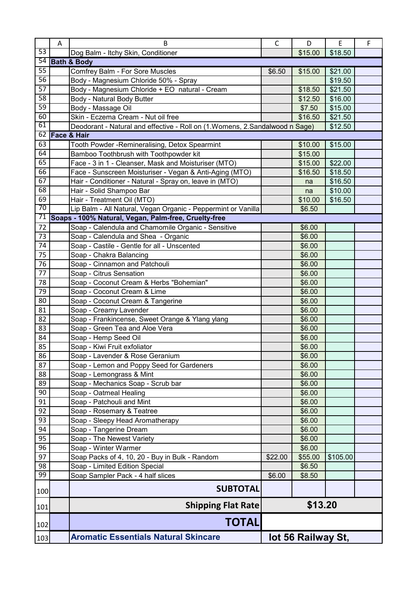|                 | A | B                                                                             | C                  | D       | E        | F |
|-----------------|---|-------------------------------------------------------------------------------|--------------------|---------|----------|---|
| 53              |   | Dog Balm - Itchy Skin, Conditioner                                            |                    | \$15.00 | \$18.50  |   |
|                 |   | 54 Bath & Body                                                                |                    |         |          |   |
| $\overline{55}$ |   | Comfrey Balm - For Sore Muscles                                               | \$6.50             | \$15.00 | \$21.00  |   |
| $\overline{56}$ |   | Body - Magnesium Chloride 50% - Spray                                         |                    |         | \$19.50  |   |
| 57              |   | Body - Magnesium Chloride + EO natural - Cream                                |                    | \$18.50 | \$21.50  |   |
| 58              |   | Body - Natural Body Butter                                                    |                    | \$12.50 | \$16.00  |   |
| 59              |   | Body - Massage Oil                                                            |                    | \$7.50  | \$15.00  |   |
| 60              |   | Skin - Eczema Cream - Nut oil free                                            |                    | \$16.50 | \$21.50  |   |
| 61              |   | Deodorant - Natural and effective - Roll on (1. Womens, 2. Sandalwood n Sage) |                    |         | \$12.50  |   |
|                 |   | 62 Face & Hair                                                                |                    |         |          |   |
| $\overline{63}$ |   | Tooth Powder - Remineralising, Detox Spearmint                                |                    | \$10.00 | \$15.00  |   |
| 64              |   | Bamboo Toothbrush with Toothpowder kit                                        |                    | \$15.00 |          |   |
| 65              |   | Face - 3 in 1 - Cleanser, Mask and Moisturiser (MTO)                          |                    | \$15.00 | \$22.00  |   |
| 66              |   | Face - Sunscreen Moisturiser - Vegan & Anti-Aging (MTO)                       |                    | \$16.50 | \$18.50  |   |
| 67              |   | Hair - Conditioner - Natural - Spray on, leave in (MTO)                       |                    | na      | \$16.50  |   |
| 68              |   | Hair - Solid Shampoo Bar                                                      |                    | na      | \$10.00  |   |
| 69              |   | Hair - Treatment Oil (MTO)                                                    |                    | \$10.00 | \$16.50  |   |
| 70              |   | Lip Balm - All Natural, Vegan Organic - Peppermint or Vanilla                 |                    | \$6.50  |          |   |
| 71              |   | Soaps - 100% Natural, Vegan, Palm-free, Cruelty-free                          |                    |         |          |   |
| 72              |   | Soap - Calendula and Chamomile Organic - Sensitive                            |                    | \$6.00  |          |   |
| 73              |   | Soap - Calendula and Shea - Organic                                           |                    | \$6.00  |          |   |
| 74              |   | Soap - Castile - Gentle for all - Unscented                                   |                    | \$6.00  |          |   |
| 75              |   | Soap - Chakra Balancing                                                       |                    | \$6.00  |          |   |
| 76              |   | Soap - Cinnamon and Patchouli                                                 |                    | \$6.00  |          |   |
| $\overline{77}$ |   | Soap - Citrus Sensation                                                       |                    | \$6.00  |          |   |
| 78              |   | Soap - Coconut Cream & Herbs "Bohemian"                                       |                    | \$6.00  |          |   |
| 79              |   | Soap - Coconut Cream & Lime                                                   |                    | \$6.00  |          |   |
| 80              |   | Soap - Coconut Cream & Tangerine                                              |                    | \$6.00  |          |   |
| 81              |   | Soap - Creamy Lavender                                                        |                    | \$6.00  |          |   |
| 82              |   | Soap - Frankincense, Sweet Orange & Ylang ylang                               |                    | \$6.00  |          |   |
| 83              |   | Soap - Green Tea and Aloe Vera                                                |                    | \$6.00  |          |   |
| 84              |   | Soap - Hemp Seed Oil                                                          |                    | \$6.00  |          |   |
| 85              |   | Soap - Kiwi Fruit exfoliator                                                  |                    | \$6.00  |          |   |
| 86              |   | Soap - Lavender & Rose Geranium                                               |                    | \$6.00  |          |   |
| 87              |   | Soap - Lemon and Poppy Seed for Gardeners                                     |                    | \$6.00  |          |   |
| 88              |   | Soap - Lemongrass & Mint                                                      |                    | \$6.00  |          |   |
| 89              |   | Soap - Mechanics Soap - Scrub bar                                             |                    | \$6.00  |          |   |
| 90              |   | Soap - Oatmeal Healing                                                        |                    | \$6.00  |          |   |
| 91              |   | Soap - Patchouli and Mint                                                     |                    | \$6.00  |          |   |
| 92              |   | Soap - Rosemary & Teatree                                                     |                    | \$6.00  |          |   |
| 93              |   | Soap - Sleepy Head Aromatherapy                                               |                    | \$6.00  |          |   |
| 94              |   | Soap - Tangerine Dream                                                        |                    | \$6.00  |          |   |
| 95              |   | Soap - The Newest Variety                                                     |                    | \$6.00  |          |   |
| 96              |   | Soap - Winter Warmer                                                          |                    | \$6.00  |          |   |
| 97              |   | Soap Packs of 4, 10, 20 - Buy in Bulk - Random                                | \$22.00            | \$55.00 | \$105.00 |   |
| 98<br>99        |   | Soap - Limited Edition Special                                                |                    | \$6.50  |          |   |
|                 |   | Soap Sampler Pack - 4 half slices                                             | \$6.00             | \$8.50  |          |   |
| 100             |   | <b>SUBTOTAL</b>                                                               |                    |         |          |   |
| 101             |   | <b>Shipping Flat Rate</b>                                                     | \$13.20            |         |          |   |
| 102             |   | <b>TOTAL</b>                                                                  |                    |         |          |   |
| 103             |   | <b>Aromatic Essentials Natural Skincare</b>                                   | lot 56 Railway St, |         |          |   |